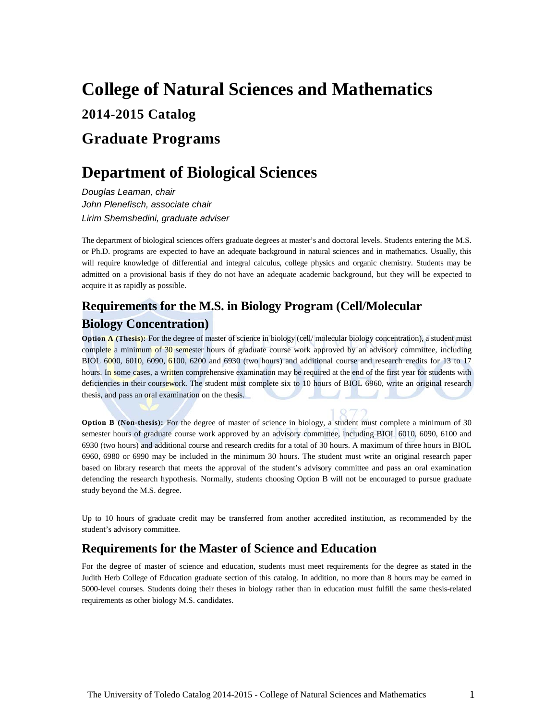## **College of Natural Sciences and Mathematics 2014-2015 Catalog Graduate Programs**

## **Department of Biological Sciences**

*Douglas Leaman, chair John Plenefisch, associate chair Lirim Shemshedini, graduate adviser*

The department of biological sciences offers graduate degrees at master's and doctoral levels. Students entering the M.S. or Ph.D. programs are expected to have an adequate background in natural sciences and in mathematics. Usually, this will require knowledge of differential and integral calculus, college physics and organic chemistry. Students may be admitted on a provisional basis if they do not have an adequate academic background, but they will be expected to acquire it as rapidly as possible.

## **Requirements for the M.S. in Biology Program (Cell/Molecular Biology Concentration)**

**Option A (Thesis):** For the degree of master of science in biology (cell/ molecular biology concentration), a student must complete a minimum of 30 semester hours of graduate course work approved by an advisory committee, including BIOL 6000, 6010, 6090, 6100, 6200 and 6930 (two hours) and additional course and research credits for 13 to 17 hours. In some cases, a written comprehensive examination may be required at the end of the first year for students with deficiencies in their coursework. The student must complete six to 10 hours of BIOL 6960, write an original research thesis, and pass an oral examination on the thesis.

**Option B (Non-thesis):** For the degree of master of science in biology, a student must complete a minimum of 30 semester hours of graduate course work approved by an advisory committee, including BIOL 6010, 6090, 6100 and 6930 (two hours) and additional course and research credits for a total of 30 hours. A maximum of three hours in BIOL 6960, 6980 or 6990 may be included in the minimum 30 hours. The student must write an original research paper based on library research that meets the approval of the student's advisory committee and pass an oral examination defending the research hypothesis. Normally, students choosing Option B will not be encouraged to pursue graduate study beyond the M.S. degree.

Up to 10 hours of graduate credit may be transferred from another accredited institution, as recommended by the student's advisory committee.

## **Requirements for the Master of Science and Education**

For the degree of master of science and education, students must meet requirements for the degree as stated in the Judith Herb College of Education graduate section of this catalog. In addition, no more than 8 hours may be earned in 5000-level courses. Students doing their theses in biology rather than in education must fulfill the same thesis-related requirements as other biology M.S. candidates.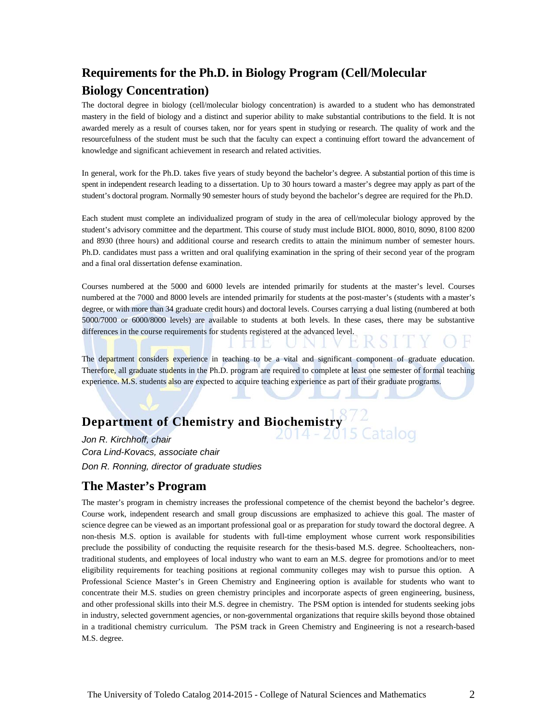## **Requirements for the Ph.D. in Biology Program (Cell/Molecular Biology Concentration)**

The doctoral degree in biology (cell/molecular biology concentration) is awarded to a student who has demonstrated mastery in the field of biology and a distinct and superior ability to make substantial contributions to the field. It is not awarded merely as a result of courses taken, nor for years spent in studying or research. The quality of work and the resourcefulness of the student must be such that the faculty can expect a continuing effort toward the advancement of knowledge and significant achievement in research and related activities.

In general, work for the Ph.D. takes five years of study beyond the bachelor's degree. A substantial portion of this time is spent in independent research leading to a dissertation. Up to 30 hours toward a master's degree may apply as part of the student's doctoral program. Normally 90 semester hours of study beyond the bachelor's degree are required for the Ph.D.

Each student must complete an individualized program of study in the area of cell/molecular biology approved by the student's advisory committee and the department. This course of study must include BIOL 8000, 8010, 8090, 8100 8200 and 8930 (three hours) and additional course and research credits to attain the minimum number of semester hours. Ph.D. candidates must pass a written and oral qualifying examination in the spring of their second year of the program and a final oral dissertation defense examination.

Courses numbered at the 5000 and 6000 levels are intended primarily for students at the master's level. Courses numbered at the 7000 and 8000 levels are intended primarily for students at the post-master's (students with a master's degree, or with more than 34 graduate credit hours) and doctoral levels. Courses carrying a dual listing (numbered at both 5000/7000 or 6000/8000 levels) are available to students at both levels. In these cases, there may be substantive differences in the course requirements for students registered at the advanced level.

The department considers experience in teaching to be a vital and significant component of graduate education. Therefore, all graduate students in the Ph.D. program are required to complete at least one semester of formal teaching experience. M.S. students also are expected to acquire teaching experience as part of their graduate programs.

# **Department of Chemistry and Biochemistry**

*Jon R. Kirchhoff, chair Cora Lind-Kovacs, associate chair Don R. Ronning, director of graduate studies*

## **The Master's Program**

The master's program in chemistry increases the professional competence of the chemist beyond the bachelor's degree. Course work, independent research and small group discussions are emphasized to achieve this goal. The master of science degree can be viewed as an important professional goal or as preparation for study toward the doctoral degree. A non-thesis M.S. option is available for students with full-time employment whose current work responsibilities preclude the possibility of conducting the requisite research for the thesis-based M.S. degree. Schoolteachers, nontraditional students, and employees of local industry who want to earn an M.S. degree for promotions and/or to meet eligibility requirements for teaching positions at regional community colleges may wish to pursue this option. A Professional Science Master's in Green Chemistry and Engineering option is available for students who want to concentrate their M.S. studies on green chemistry principles and incorporate aspects of green engineering, business, and other professional skills into their M.S. degree in chemistry. The PSM option is intended for students seeking jobs in industry, selected government agencies, or non-governmental organizations that require skills beyond those obtained in a traditional chemistry curriculum. The PSM track in Green Chemistry and Engineering is not a research-based M.S. degree.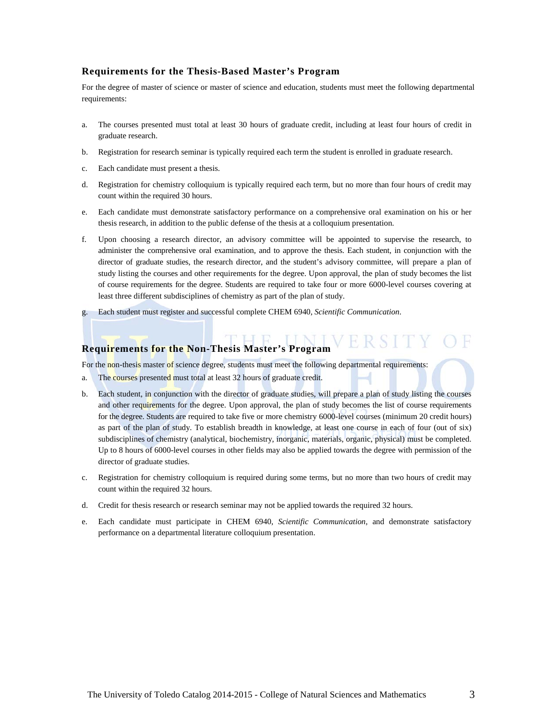#### **Requirements for the Thesis-Based Master's Program**

For the degree of master of science or master of science and education, students must meet the following departmental requirements:

- a. The courses presented must total at least 30 hours of graduate credit, including at least four hours of credit in graduate research.
- b. Registration for research seminar is typically required each term the student is enrolled in graduate research.
- c. Each candidate must present a thesis.
- d. Registration for chemistry colloquium is typically required each term, but no more than four hours of credit may count within the required 30 hours.
- e. Each candidate must demonstrate satisfactory performance on a comprehensive oral examination on his or her thesis research, in addition to the public defense of the thesis at a colloquium presentation.
- f. Upon choosing a research director, an advisory committee will be appointed to supervise the research, to administer the comprehensive oral examination, and to approve the thesis. Each student, in conjunction with the director of graduate studies, the research director, and the student's advisory committee, will prepare a plan of study listing the courses and other requirements for the degree. Upon approval, the plan of study becomes the list of course requirements for the degree. Students are required to take four or more 6000-level courses covering at least three different subdisciplines of chemistry as part of the plan of study.
- g. Each student must register and successful complete CHEM 6940, *Scientific Communication*.

## **Requirements for the Non-Thesis Master's Program**

For the non-thesis master of science degree, students must meet the following departmental requirements:

- a. The courses presented must total at least 32 hours of graduate credit.
- b. Each student, in conjunction with the director of graduate studies, will prepare a plan of study listing the courses and other requirements for the degree. Upon approval, the plan of study becomes the list of course requirements for the degree. Students are required to take five or more chemistry 6000-level courses (minimum 20 credit hours) as part of the plan of study. To establish breadth in knowledge, at least one course in each of four (out of six) subdisciplines of chemistry (analytical, biochemistry, inorganic, materials, organic, physical) must be completed. Up to 8 hours of 6000-level courses in other fields may also be applied towards the degree with permission of the director of graduate studies.
- c. Registration for chemistry colloquium is required during some terms, but no more than two hours of credit may count within the required 32 hours.
- d. Credit for thesis research or research seminar may not be applied towards the required 32 hours.
- e. Each candidate must participate in CHEM 6940, *Scientific Communication*, and demonstrate satisfactory performance on a departmental literature colloquium presentation.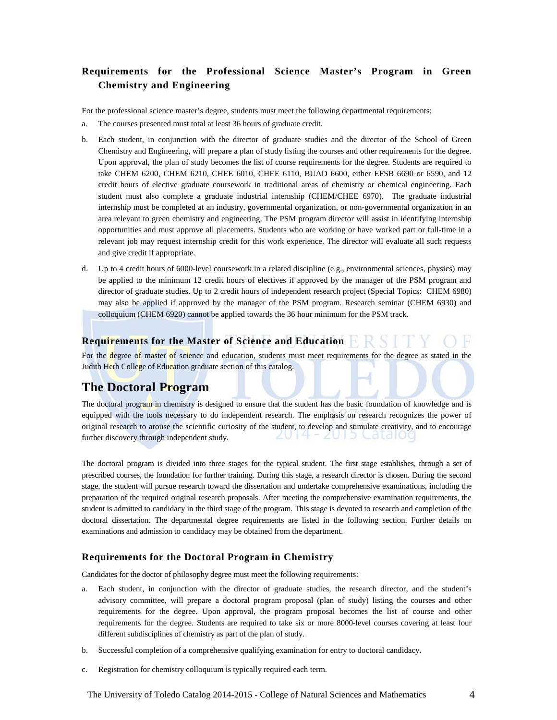## **Requirements for the Professional Science Master's Program in Green Chemistry and Engineering**

For the professional science master's degree, students must meet the following departmental requirements:

- a. The courses presented must total at least 36 hours of graduate credit.
- b. Each student, in conjunction with the director of graduate studies and the director of the School of Green Chemistry and Engineering, will prepare a plan of study listing the courses and other requirements for the degree. Upon approval, the plan of study becomes the list of course requirements for the degree. Students are required to take CHEM 6200, CHEM 6210, CHEE 6010, CHEE 6110, BUAD 6600, either EFSB 6690 or 6590, and 12 credit hours of elective graduate coursework in traditional areas of chemistry or chemical engineering. Each student must also complete a graduate industrial internship (CHEM/CHEE 6970). The graduate industrial internship must be completed at an industry, governmental organization, or non-governmental organization in an area relevant to green chemistry and engineering. The PSM program director will assist in identifying internship opportunities and must approve all placements. Students who are working or have worked part or full-time in a relevant job may request internship credit for this work experience. The director will evaluate all such requests and give credit if appropriate.
- d. Up to 4 credit hours of 6000-level coursework in a related discipline (e.g., environmental sciences, physics) may be applied to the minimum 12 credit hours of electives if approved by the manager of the PSM program and director of graduate studies. Up to 2 credit hours of independent research project (Special Topics: CHEM 6980) may also be applied if approved by the manager of the PSM program. Research seminar (CHEM 6930) and colloquium (CHEM 6920) cannot be applied towards the 36 hour minimum for the PSM track.

## **Requirements for the Master of Science and Education**

For the degree of master of science and education, students must meet requirements for the degree as stated in the Judith Herb College of Education graduate section of this catalog.

## **The Doctoral Program**

The doctoral program in chemistry is designed to ensure that the student has the basic foundation of knowledge and is equipped with the tools necessary to do independent research. The emphasis on research recognizes the power of original research to arouse the scientific curiosity of the student, to develop and stimulate creativity, and to encourage 2014 - 2015 Cataloc further discovery through independent study.

The doctoral program is divided into three stages for the typical student. The first stage establishes, through a set of prescribed courses, the foundation for further training. During this stage, a research director is chosen. During the second stage, the student will pursue research toward the dissertation and undertake comprehensive examinations, including the preparation of the required original research proposals. After meeting the comprehensive examination requirements, the student is admitted to candidacy in the third stage of the program. This stage is devoted to research and completion of the doctoral dissertation. The departmental degree requirements are listed in the following section. Further details on examinations and admission to candidacy may be obtained from the department.

### **Requirements for the Doctoral Program in Chemistry**

Candidates for the doctor of philosophy degree must meet the following requirements:

- a. Each student, in conjunction with the director of graduate studies, the research director, and the student's advisory committee, will prepare a doctoral program proposal (plan of study) listing the courses and other requirements for the degree. Upon approval, the program proposal becomes the list of course and other requirements for the degree. Students are required to take six or more 8000-level courses covering at least four different subdisciplines of chemistry as part of the plan of study.
- b. Successful completion of a comprehensive qualifying examination for entry to doctoral candidacy.
- c. Registration for chemistry colloquium is typically required each term.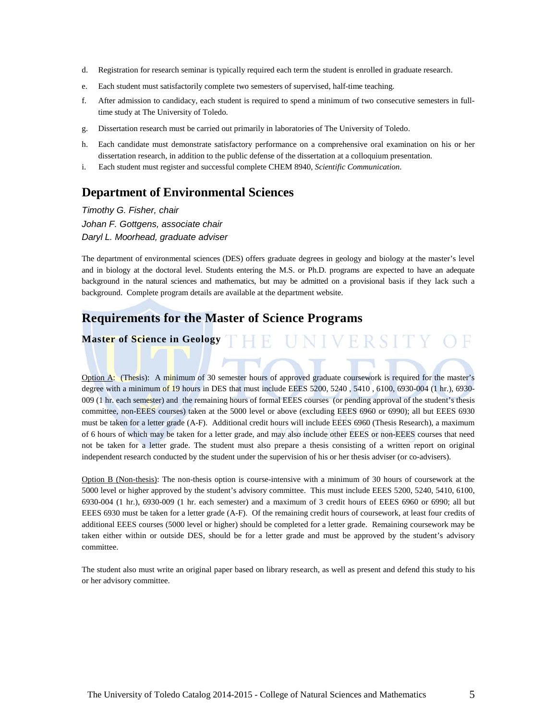- d. Registration for research seminar is typically required each term the student is enrolled in graduate research.
- e. Each student must satisfactorily complete two semesters of supervised, half-time teaching.
- f. After admission to candidacy, each student is required to spend a minimum of two consecutive semesters in fulltime study at The University of Toledo.
- g. Dissertation research must be carried out primarily in laboratories of The University of Toledo.
- h. Each candidate must demonstrate satisfactory performance on a comprehensive oral examination on his or her dissertation research, in addition to the public defense of the dissertation at a colloquium presentation.
- i. Each student must register and successful complete CHEM 8940, *Scientific Communication*.

## **Department of Environmental Sciences**

*Timothy G. Fisher, chair Johan F. Gottgens, associate chair Daryl L. Moorhead, graduate adviser*

The department of environmental sciences (DES) offers graduate degrees in geology and biology at the master's level and in biology at the doctoral level. Students entering the M.S. or Ph.D. programs are expected to have an adequate background in the natural sciences and mathematics, but may be admitted on a provisional basis if they lack such a background. Complete program details are available at the department website.

## **Requirements for the Master of Science Programs**

THE UNIVERSITY **Master of Science in Geology**

Option A: (Thesis): A minimum of 30 semester hours of approved graduate coursework is required for the master's degree with a minimum of 19 hours in DES that must include EEES 5200, 5240, 5410, 6100, 6930-004 (1 hr.), 6930-009 (1 hr. each semester) and the remaining hours of formal EEES courses (or pending approval of the student's thesis committee, non-EEES courses) taken at the 5000 level or above (excluding EEES 6960 or 6990); all but EEES 6930 must be taken for a letter grade (A-F). Additional credit hours will include EEES 6960 (Thesis Research), a maximum of 6 hours of which may be taken for a letter grade, and may also include other EEES or non-EEES courses that need not be taken for a letter grade. The student must also prepare a thesis consisting of a written report on original independent research conducted by the student under the supervision of his or her thesis adviser (or co-advisers).

Option B (Non-thesis): The non-thesis option is course-intensive with a minimum of 30 hours of coursework at the 5000 level or higher approved by the student's advisory committee. This must include EEES 5200, 5240, 5410, 6100, 6930-004 (1 hr.), 6930-009 (1 hr. each semester) and a maximum of 3 credit hours of EEES 6960 or 6990; all but EEES 6930 must be taken for a letter grade (A-F). Of the remaining credit hours of coursework, at least four credits of additional EEES courses (5000 level or higher) should be completed for a letter grade. Remaining coursework may be taken either within or outside DES, should be for a letter grade and must be approved by the student's advisory committee.

The student also must write an original paper based on library research, as well as present and defend this study to his or her advisory committee.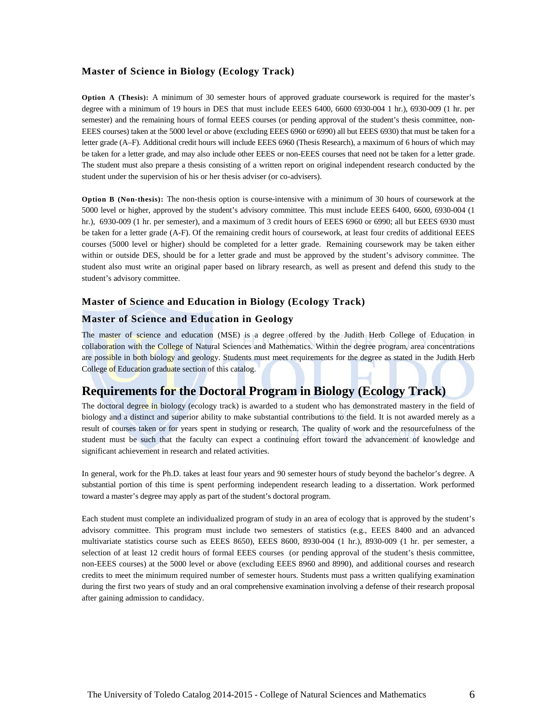#### **Master of Science in Biology (Ecology Track)**

**Option A (Thesis):** A minimum of 30 semester hours of approved graduate coursework is required for the master's degree with a minimum of 19 hours in DES that must include EEES 6400, 6600 6930-004 1 hr.), 6930-009 (1 hr. per semester) and the remaining hours of formal EEES courses (or pending approval of the student's thesis committee, non-EEES courses) taken at the 5000 level or above (excluding EEES 6960 or 6990) all but EEES 6930) that must be taken for a letter grade (A–F). Additional credit hours will include EEES 6960 (Thesis Research), a maximum of 6 hours of which may be taken for a letter grade, and may also include other EEES or non-EEES courses that need not be taken for a letter grade. The student must also prepare a thesis consisting of a written report on original independent research conducted by the student under the supervision of his or her thesis adviser (or co-advisers).

**Option B (Non-thesis):** The non-thesis option is course-intensive with a minimum of 30 hours of coursework at the 5000 level or higher, approved by the student's advisory committee. This must include EEES 6400, 6600, 6930-004 (1 hr.), 6930-009 (1 hr. per semester), and a maximum of 3 credit hours of EEES 6960 or 6990; all but EEES 6930 must be taken for a letter grade (A-F). Of the remaining credit hours of coursework, at least four credits of additional EEES courses (5000 level or higher) should be completed for a letter grade. Remaining coursework may be taken either within or outside DES, should be for a letter grade and must be approved by the student's advisory committee. The student also must write an original paper based on library research, as well as present and defend this study to the student's advisory committee.

#### **Master of Science and Education in Biology (Ecology Track)**

#### **Master of Science and Education in Geology**

The master of science and education (MSE) is a degree offered by the Judith Herb College of Education in collaboration with the College of Natural Sciences and Mathematics. Within the degree program, area concentrations are possible in both biology and geology. Students must meet requirements for the degree as stated in the Judith Herb College of Education graduate section of this catalog.

## **Requirements for the Doctoral Program in Biology (Ecology Track)**

The doctoral degree in biology (ecology track) is awarded to a student who has demonstrated mastery in the field of biology and a distinct and superior ability to make substantial contributions to the field. It is not awarded merely as a result of courses taken or for years spent in studying or research. The quality of work and the resourcefulness of the student must be such that the faculty can expect a continuing effort toward the advancement of knowledge and significant achievement in research and related activities.

In general, work for the Ph.D. takes at least four years and 90 semester hours of study beyond the bachelor's degree. A substantial portion of this time is spent performing independent research leading to a dissertation. Work performed toward a master's degree may apply as part of the student's doctoral program.

Each student must complete an individualized program of study in an area of ecology that is approved by the student's advisory committee. This program must include two semesters of statistics (e.g., EEES 8400 and an advanced multivariate statistics course such as EEES 8650), EEES 8600, 8930-004 (1 hr.), 8930-009 (1 hr. per semester, a selection of at least 12 credit hours of formal EEES courses (or pending approval of the student's thesis committee, non-EEES courses) at the 5000 level or above (excluding EEES 8960 and 8990), and additional courses and research credits to meet the minimum required number of semester hours. Students must pass a written qualifying examination during the first two years of study and an oral comprehensive examination involving a defense of their research proposal after gaining admission to candidacy.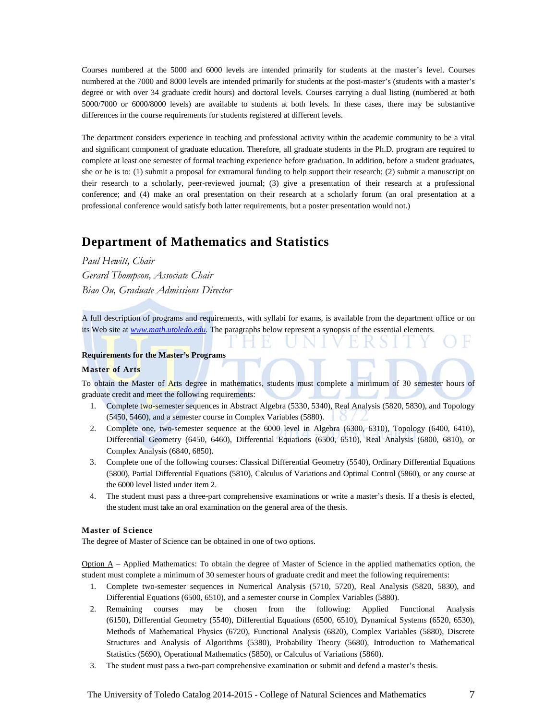Courses numbered at the 5000 and 6000 levels are intended primarily for students at the master's level. Courses numbered at the 7000 and 8000 levels are intended primarily for students at the post-master's (students with a master's degree or with over 34 graduate credit hours) and doctoral levels. Courses carrying a dual listing (numbered at both 5000/7000 or 6000/8000 levels) are available to students at both levels. In these cases, there may be substantive differences in the course requirements for students registered at different levels.

The department considers experience in teaching and professional activity within the academic community to be a vital and significant component of graduate education. Therefore, all graduate students in the Ph.D. program are required to complete at least one semester of formal teaching experience before graduation. In addition, before a student graduates, she or he is to: (1) submit a proposal for extramural funding to help support their research; (2) submit a manuscript on their research to a scholarly, peer-reviewed journal; (3) give a presentation of their research at a professional conference; and (4) make an oral presentation on their research at a scholarly forum (an oral presentation at a professional conference would satisfy both latter requirements, but a poster presentation would not.)

## **Department of Mathematics and Statistics**

*Paul Hewitt, Chair Gerard Thompson, Associate Chair Biao Ou, Graduate Admissions Director*

A full description of programs and requirements, with syllabi for exams, is available from the department office or on its Web site at *www.math.utoledo.edu.* The paragraphs below represent a synopsis of the essential elements.

#### **Requirements for the Master's Programs**

#### **Master of Arts**

To obtain the Master of Arts degree in mathematics, students must complete a minimum of 30 semester hours of graduate credit and meet the following requirements:

- 1. Complete two-semester sequences in Abstract Algebra (5330, 5340), Real Analysis (5820, 5830), and Topology (5450, 5460), and a semester course in Complex Variables (5880).
- 2. Complete one, two-semester sequence at the 6000 level in Algebra (6300, 6310), Topology (6400, 6410), Differential Geometry (6450, 6460), Differential Equations (6500, 6510), Real Analysis (6800, 6810), or Complex Analysis (6840, 6850).
- 3. Complete one of the following courses: Classical Differential Geometry (5540), Ordinary Differential Equations (5800), Partial Differential Equations (5810), Calculus of Variations and Optimal Control (5860), or any course at the 6000 level listed under item 2.
- 4. The student must pass a three-part comprehensive examinations or write a master's thesis. If a thesis is elected, the student must take an oral examination on the general area of the thesis.

#### **Master of Science**

The degree of Master of Science can be obtained in one of two options.

 $Option A - Applied Mathematics: To obtain the degree of Master of Science in the applied mathematics option, the$ student must complete a minimum of 30 semester hours of graduate credit and meet the following requirements:

- 1. Complete two-semester sequences in Numerical Analysis (5710, 5720), Real Analysis (5820, 5830), and Differential Equations (6500, 6510), and a semester course in Complex Variables (5880).
- 2. Remaining courses may be chosen from the following: Applied Functional Analysis (6150), Differential Geometry (5540), Differential Equations (6500, 6510), Dynamical Systems (6520, 6530), Methods of Mathematical Physics (6720), Functional Analysis (6820), Complex Variables (5880), Discrete Structures and Analysis of Algorithms (5380), Probability Theory (5680), Introduction to Mathematical Statistics (5690), Operational Mathematics (5850), or Calculus of Variations (5860).
- 3. The student must pass a two-part comprehensive examination or submit and defend a master's thesis.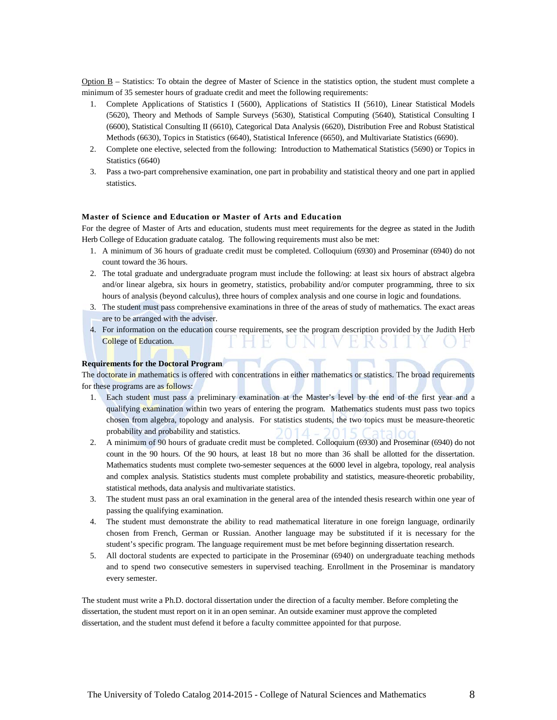Option B – Statistics: To obtain the degree of Master of Science in the statistics option, the student must complete a minimum of 35 semester hours of graduate credit and meet the following requirements:

- 1. Complete Applications of Statistics I (5600), Applications of Statistics II (5610), Linear Statistical Models (5620), Theory and Methods of Sample Surveys (5630), Statistical Computing (5640), Statistical Consulting I (6600), Statistical Consulting II (6610), Categorical Data Analysis (6620), Distribution Free and Robust Statistical Methods (6630), Topics in Statistics (6640), Statistical Inference (6650), and Multivariate Statistics (6690).
- 2. Complete one elective, selected from the following: Introduction to Mathematical Statistics (5690) or Topics in Statistics (6640)
- 3. Pass a two-part comprehensive examination, one part in probability and statistical theory and one part in applied statistics.

#### **Master of Science and Education or Master of Arts and Education**

For the degree of Master of Arts and education, students must meet requirements for the degree as stated in the Judith Herb College of Education graduate catalog. The following requirements must also be met:

- 1. A minimum of 36 hours of graduate credit must be completed. Colloquium (6930) and Proseminar (6940) do not count toward the 36 hours.
- 2. The total graduate and undergraduate program must include the following: at least six hours of abstract algebra and/or linear algebra, six hours in geometry, statistics, probability and/or computer programming, three to six hours of analysis (beyond calculus), three hours of complex analysis and one course in logic and foundations.
- 3. The student must pass comprehensive examinations in three of the areas of study of mathematics. The exact areas are to be arranged with the adviser.
- 4. For information on the education course requirements, see the program description provided by the Judith Herb College of Education.

#### **Requirements for the Doctoral Program**

The doctorate in mathematics is offered with concentrations in either mathematics or statistics. The broad requirements for these programs are as follows:

- 1. Each student must pass a preliminary examination at the Master's level by the end of the first year and a qualifying examination within two years of entering the program. Mathematics students must pass two topics chosen from algebra, topology and analysis. For statistics students, the two topics must be measure-theoretic probability and probability and statistics.
- 2. A minimum of 90 hours of graduate credit must be completed. Colloquium (6930) and Proseminar (6940) do not count in the 90 hours. Of the 90 hours, at least 18 but no more than 36 shall be allotted for the dissertation. Mathematics students must complete two-semester sequences at the 6000 level in algebra, topology, real analysis and complex analysis. Statistics students must complete probability and statistics, measure-theoretic probability, statistical methods, data analysis and multivariate statistics.
- 3. The student must pass an oral examination in the general area of the intended thesis research within one year of passing the qualifying examination.
- 4. The student must demonstrate the ability to read mathematical literature in one foreign language, ordinarily chosen from French, German or Russian. Another language may be substituted if it is necessary for the student's specific program. The language requirement must be met before beginning dissertation research.
- 5. All doctoral students are expected to participate in the Proseminar (6940) on undergraduate teaching methods and to spend two consecutive semesters in supervised teaching. Enrollment in the Proseminar is mandatory every semester.

The student must write a Ph.D. doctoral dissertation under the direction of a faculty member. Before completing the dissertation, the student must report on it in an open seminar. An outside examiner must approve the completed dissertation, and the student must defend it before a faculty committee appointed for that purpose.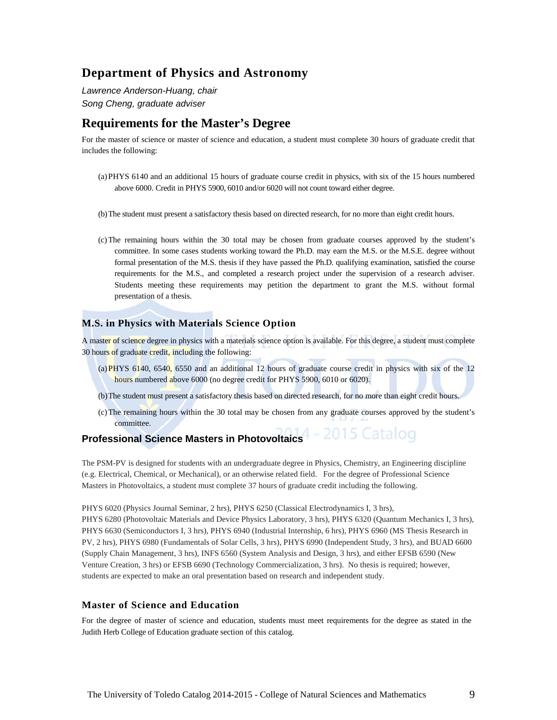## **Department of Physics and Astronomy**

*Lawrence Anderson-Huang, chair Song Cheng, graduate adviser*

## **Requirements for the Master's Degree**

For the master of science or master of science and education, a student must complete 30 hours of graduate credit that includes the following:

- (a)PHYS 6140 and an additional 15 hours of graduate course credit in physics, with six of the 15 hours numbered above 6000. Credit in PHYS 5900, 6010 and/or 6020 will not count toward either degree.
- (b)The student must present a satisfactory thesis based on directed research, for no more than eight credit hours.
- (c)The remaining hours within the 30 total may be chosen from graduate courses approved by the student's committee. In some cases students working toward the Ph.D. may earn the M.S. or the M.S.E. degree without formal presentation of the M.S. thesis if they have passed the Ph.D. qualifying examination, satisfied the course requirements for the M.S., and completed a research project under the supervision of a research adviser. Students meeting these requirements may petition the department to grant the M.S. without formal presentation of a thesis.

### **M.S. in Physics with Materials Science Option**

A master of science degree in physics with a materials science option is available. For this degree, a student must complete 30 hours of graduate credit, including the following:

- (a)PHYS  $6140$ , 6540, 6550 and an additional 12 hours of graduate course credit in physics with six of the 12 hours numbered above 6000 (no degree credit for PHYS 5900, 6010 or 6020).
- (b)The student must present a satisfactory thesis based on directed research, for no more than eight credit hours.
- (c)The remaining hours within the 30 total may be chosen from any graduate courses approved by the student's committee.

#### 2015 Catalog **Professional Science Masters in Photovoltaics**

The PSM-PV is designed for students with an undergraduate degree in Physics, Chemistry, an Engineering discipline (e.g. Electrical, Chemical, or Mechanical), or an otherwise related field. For the degree of Professional Science Masters in Photovoltaics, a student must complete 37 hours of graduate credit including the following.

PHYS 6020 (Physics Journal Seminar, 2 hrs), PHYS 6250 (Classical Electrodynamics I, 3 hrs),

PHYS 6280 (Photovoltaic Materials and Device Physics Laboratory, 3 hrs), PHYS 6320 (Quantum Mechanics I, 3 hrs), PHYS 6630 (Semiconductors I, 3 hrs), PHYS 6940 (Industrial Internship, 6 hrs), PHYS 6960 (MS Thesis Research in PV, 2 hrs), PHYS 6980 (Fundamentals of Solar Cells, 3 hrs), PHYS 6990 (Independent Study, 3 hrs), and BUAD 6600 (Supply Chain Management, 3 hrs), INFS 6560 (System Analysis and Design, 3 hrs), and either EFSB 6590 (New Venture Creation, 3 hrs) or EFSB 6690 (Technology Commercialization, 3 hrs). No thesis is required; however, students are expected to make an oral presentation based on research and independent study.

#### **Master of Science and Education**

For the degree of master of science and education, students must meet requirements for the degree as stated in the Judith Herb College of Education graduate section of this catalog.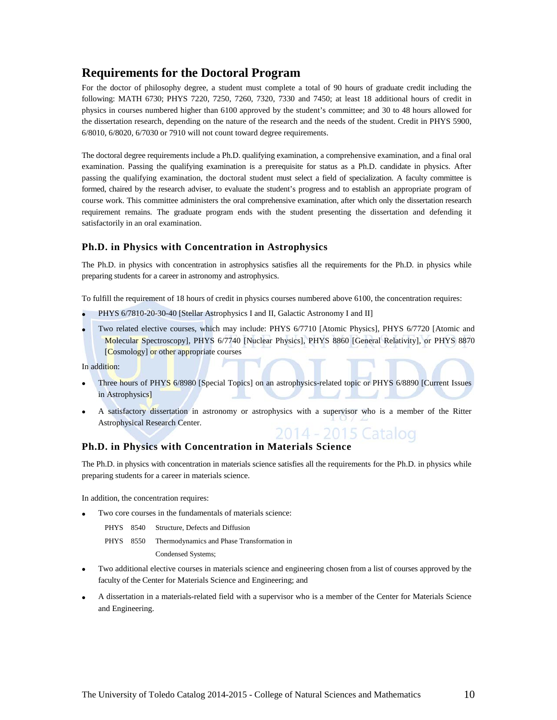## **Requirements for the Doctoral Program**

For the doctor of philosophy degree, a student must complete a total of 90 hours of graduate credit including the following: MATH 6730; PHYS 7220, 7250, 7260, 7320, 7330 and 7450; at least 18 additional hours of credit in physics in courses numbered higher than 6100 approved by the student's committee; and 30 to 48 hours allowed for the dissertation research, depending on the nature of the research and the needs of the student. Credit in PHYS 5900, 6/8010, 6/8020, 6/7030 or 7910 will not count toward degree requirements.

The doctoral degree requirements include a Ph.D. qualifying examination, a comprehensive examination, and a final oral examination. Passing the qualifying examination is a prerequisite for status as a Ph.D. candidate in physics. After passing the qualifying examination, the doctoral student must select a field of specialization. A faculty committee is formed, chaired by the research adviser, to evaluate the student's progress and to establish an appropriate program of course work. This committee administers the oral comprehensive examination, after which only the dissertation research requirement remains. The graduate program ends with the student presenting the dissertation and defending it satisfactorily in an oral examination.

### **Ph.D. in Physics with Concentration in Astrophysics**

The Ph.D. in physics with concentration in astrophysics satisfies all the requirements for the Ph.D. in physics while preparing students for a career in astronomy and astrophysics.

To fulfill the requirement of 18 hours of credit in physics courses numbered above 6100, the concentration requires:

- PHYS 6/7810-20-30-40 [Stellar Astrophysics I and II, Galactic Astronomy I and II]
- Two related elective courses, which may include: PHYS 6/7710 [Atomic Physics], PHYS 6/7720 [Atomic and Molecular Spectroscopy], PHYS 6/7740 [Nuclear Physics], PHYS 8860 [General Relativity], or PHYS 8870 [Cosmology] or other appropriate courses

In addition:

- Three hours of PHYS 6/8980 [Special Topics] on an astrophysics-related topic or PHYS 6/8890 [Current Issues in Astrophysics]
- A satisfactory dissertation in astronomy or astrophysics with a supervisor who is a member of the Ritter Astrophysical Research Center. 2014 - 2015 Catalog

#### **Ph.D. in Physics with Concentration in Materials Science**

The Ph.D. in physics with concentration in materials science satisfies all the requirements for the Ph.D. in physics while preparing students for a career in materials science.

In addition, the concentration requires:

Two core courses in the fundamentals of materials science:

| PHYS 8540 |  |  |  | Structure, Defects and Diffusion |
|-----------|--|--|--|----------------------------------|
|-----------|--|--|--|----------------------------------|

PHYS 8550 Thermodynamics and Phase Transformation in

Condensed Systems;

- Two additional elective courses in materials science and engineering chosen from a list of courses approved by the faculty of the Center for Materials Science and Engineering; and
- A dissertation in a materials-related field with a supervisor who is a member of the Center for Materials Science and Engineering.